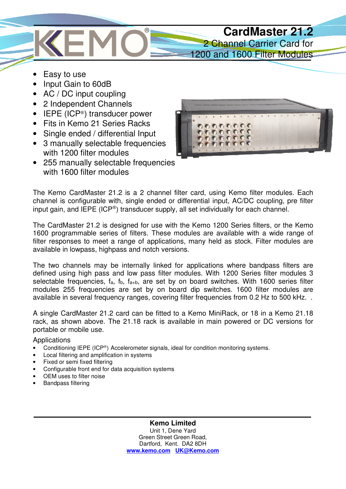

- Easy to use
- Input Gain to 60dB
- AC / DC input coupling
- 2 Independent Channels
- $\bullet$  IEPE (ICP<sup>®</sup>) transducer power
- Fits in Kemo 21 Series Racks
- Single ended / differential Input
- 3 manually selectable frequencies with 1200 filter modules
- 255 manually selectable frequencies with 1600 filter modules



The Kemo CardMaster 21.2 is a 2 channel filter card, using Kemo filter modules. Each channel is configurable with, single ended or differential input, AC/DC coupling, pre filter input gain, and IEPE (ICP<sup>®</sup>) transducer supply, all set individually for each channel.

The CardMaster 21.2 is designed for use with the Kemo 1200 Series filters, or the Kemo 1600 programmable series of filters. These modules are available with a wide range of filter responses to meet a range of applications, many held as stock. Filter modules are available in lowpass, highpass and notch versions.

The two channels may be internally linked for applications where bandpass filters are defined using high pass and low pass filter modules. With 1200 Series filter modules 3 selectable frequencies,  $f_a$ ,  $f_b$ ,  $f_{a+b}$ , are set by on board switches. With 1600 series filter modules 255 frequencies are set by on board dip switches. 1600 filter modules are available in several frequency ranges, covering filter frequencies from 0.2 Hz to 500 kHz. .

A single CardMaster 21.2 card can be fitted to a Kemo MiniRack, or 18 in a Kemo 21.18 rack, as shown above. The 21.18 rack is available in main powered or DC versions for portable or mobile use.

**Applications** 

- Conditioning IEPE (ICP®) Accelerometer signals, ideal for condition monitoring systems.
- Local filtering and amplification in systems
- Fixed or semi fixed filtering
- Configurable front end for data acquisition systems
- OEM uses to filter noise
- Bandpass filtering

**Kemo Limited**  Unit 1, Dene Yard Green Street Green Road, Dartford, Kent. DA2 8DH **www.kemo.com UK@Kemo.com**